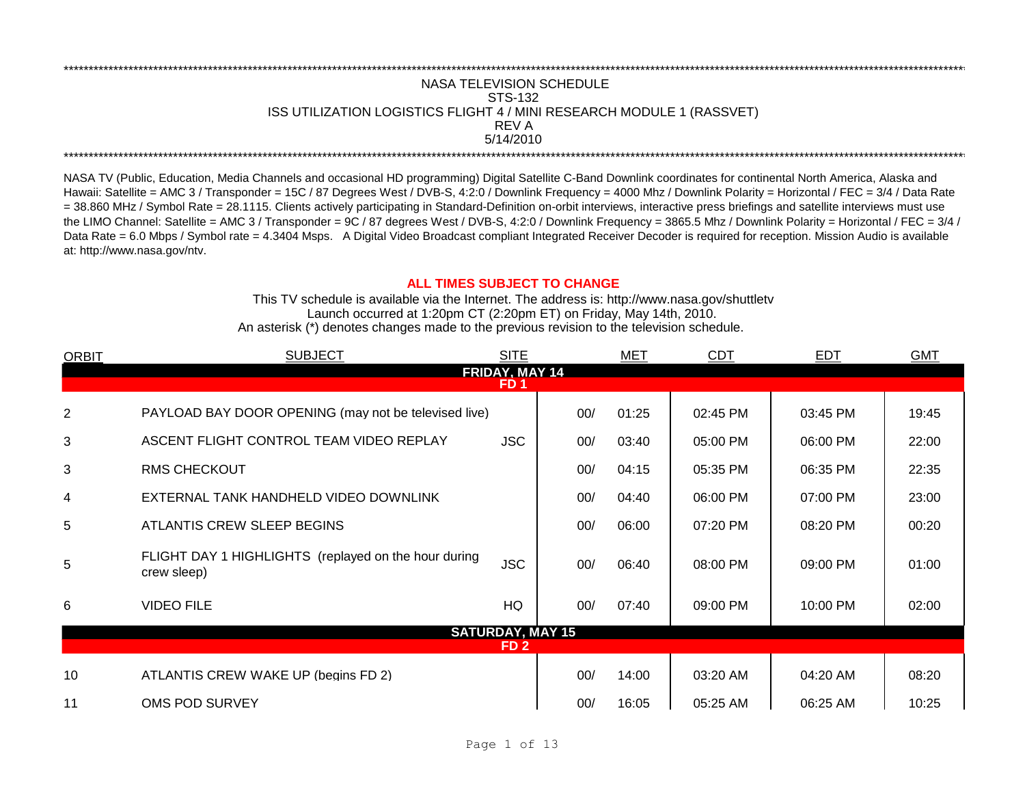## REV A \*\*\*\*\*\*\*\*\*\*\*\*\*\*\*\*\*\*\*\*\*\*\*\*\*\*\*\*\*\*\*\*\*\*\*\*\*\*\*\*\*\*\*\*\*\*\*\*\*\*\*\*\*\*\*\*\*\*\*\*\*\*\*\*\*\*\*\*\*\*\*\*\*\*\*\*\*\*\*\*\*\*\*\*\*\*\*\*\*\*\*\*\*\*\*\*\*\*\*\*\*\*\*\*\*\*\*\*\*\*\*\*\*\*\*\*\*\*\*\*\*\*\*\*\*\*\*\*\*\*\*\*\*\*\*\*\*\*\*\*\*\*\*\*\*\*\*\*\*\*\*\*\*\*\*\*\*\*\*\*\*\*\*\*\*\*\*\*\*\*\*\*\*\*\*\*\*\*\*\*\*\*\*\*\* NASA TELEVISION SCHEDULE STS-132 ISS UTILIZATION LOGISTICS FLIGHT 4 / MINI RESEARCH MODULE 1 (RASSVET) 5/14/2010 \*\*\*\*\*\*\*\*\*\*\*\*\*\*\*\*\*\*\*\*\*\*\*\*\*\*\*\*\*\*\*\*\*\*\*\*\*\*\*\*\*\*\*\*\*\*\*\*\*\*\*\*\*\*\*\*\*\*\*\*\*\*\*\*\*\*\*\*\*\*\*\*\*\*\*\*\*\*\*\*\*\*\*\*\*\*\*\*\*\*\*\*\*\*\*\*\*\*\*\*\*\*\*\*\*\*\*\*\*\*\*\*\*\*\*\*\*\*\*\*\*\*\*\*\*\*\*\*\*\*\*\*\*\*\*\*\*\*\*\*\*\*\*\*\*\*\*\*\*\*\*\*\*\*\*\*\*\*\*\*\*\*\*\*\*\*\*\*\*\*\*\*\*\*\*\*\*\*\*\*\*\*\*\*\*

NASA TV (Public, Education, Media Channels and occasional HD programming) Digital Satellite C-Band Downlink coordinates for continental North America, Alaska and Hawaii: Satellite = AMC 3 / Transponder = 15C / 87 Degrees West / DVB-S, 4:2:0 / Downlink Frequency = 4000 Mhz / Downlink Polarity = Horizontal / FEC = 3/4 / Data Rate = 38.860 MHz / Symbol Rate = 28.1115. Clients actively participating in Standard-Definition on-orbit interviews, interactive press briefings and satellite interviews must use the LIMO Channel: Satellite = AMC 3 / Transponder = 9C / 87 degrees West / DVB-S, 4:2:0 / Downlink Frequency = 3865.5 Mhz / Downlink Polarity = Horizontal / FEC = 3/4 / Data Rate = 6.0 Mbps / Symbol rate = 4.3404 Msps. A Digital Video Broadcast compliant Integrated Receiver Decoder is required for reception. Mission Audio is available at: http://www.nasa.gov/ntv.

## **ALL TIMES SUBJECT TO CHANGE**

Launch occurred at 1:20pm CT (2:20pm ET) on Friday, May 14th, 2010. An asterisk (\*) denotes changes made to the previous revision to the television schedule. This TV schedule is available via the Internet. The address is: http://www.nasa.gov/shuttletv

| <b>ORBIT</b>   | <b>SUBJECT</b>                                                      | <b>SITE</b>             |     | <b>MET</b> | <b>CDT</b> | <b>EDT</b> | <b>GMT</b> |  |  |  |  |  |  |
|----------------|---------------------------------------------------------------------|-------------------------|-----|------------|------------|------------|------------|--|--|--|--|--|--|
| FRIDAY, MAY 14 |                                                                     |                         |     |            |            |            |            |  |  |  |  |  |  |
|                | FD <sub>1</sub>                                                     |                         |     |            |            |            |            |  |  |  |  |  |  |
| 2              | PAYLOAD BAY DOOR OPENING (may not be televised live)                |                         | 00/ | 01:25      | 02:45 PM   | 03:45 PM   | 19:45      |  |  |  |  |  |  |
| 3              | ASCENT FLIGHT CONTROL TEAM VIDEO REPLAY                             | <b>JSC</b>              | 00/ | 03:40      | 05:00 PM   | 06:00 PM   | 22:00      |  |  |  |  |  |  |
| 3              | <b>RMS CHECKOUT</b>                                                 |                         | 00/ | 04:15      | 05:35 PM   | 06:35 PM   | 22:35      |  |  |  |  |  |  |
| 4              | EXTERNAL TANK HANDHELD VIDEO DOWNLINK                               |                         | 00/ | 04:40      | 06:00 PM   | 07:00 PM   | 23:00      |  |  |  |  |  |  |
| 5              | ATLANTIS CREW SLEEP BEGINS                                          |                         | 00/ | 06:00      | 07:20 PM   | 08:20 PM   | 00:20      |  |  |  |  |  |  |
| 5              | FLIGHT DAY 1 HIGHLIGHTS (replayed on the hour during<br>crew sleep) | <b>JSC</b>              | 00/ | 06:40      | 08:00 PM   | 09:00 PM   | 01:00      |  |  |  |  |  |  |
| 6              | <b>VIDEO FILE</b>                                                   | HQ                      | 00/ | 07:40      | 09:00 PM   | 10:00 PM   | 02:00      |  |  |  |  |  |  |
|                |                                                                     | <b>SATURDAY, MAY 15</b> |     |            |            |            |            |  |  |  |  |  |  |
|                |                                                                     | FD <sub>2</sub>         |     |            |            |            |            |  |  |  |  |  |  |
| 10             | ATLANTIS CREW WAKE UP (begins FD 2)                                 |                         | 00/ | 14:00      | 03:20 AM   | 04:20 AM   | 08:20      |  |  |  |  |  |  |
| 11             | OMS POD SURVEY                                                      |                         | 00/ | 16:05      | 05:25 AM   | 06:25 AM   | 10:25      |  |  |  |  |  |  |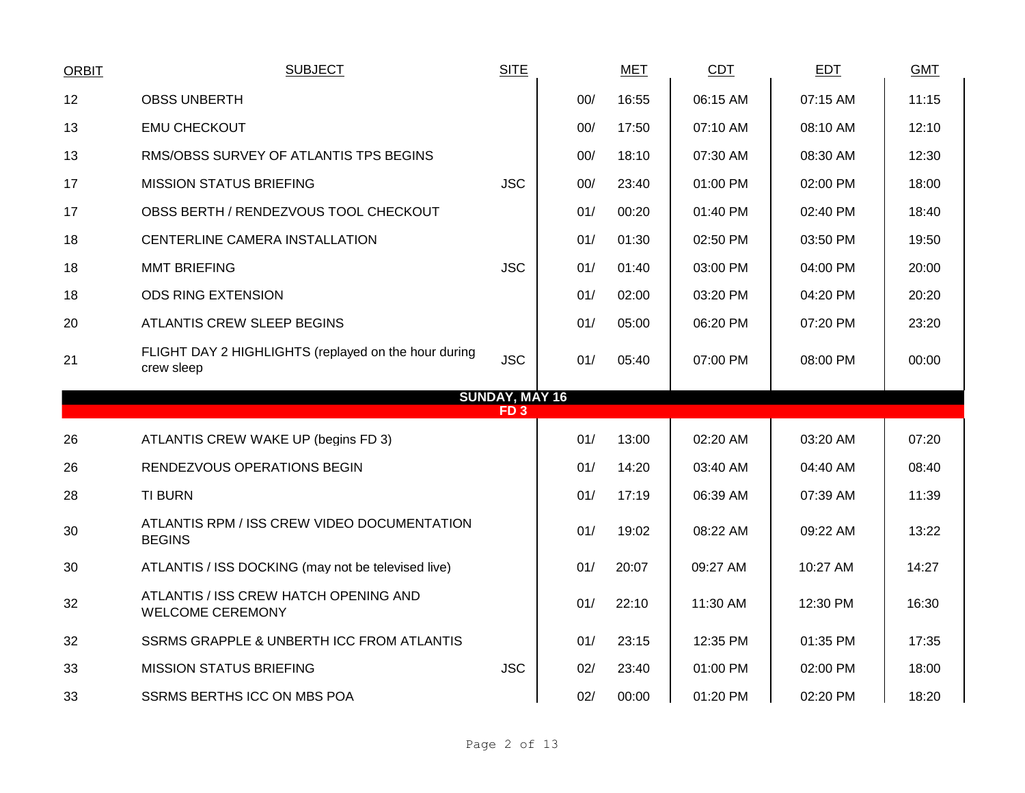| <b>ORBIT</b> | <b>SUBJECT</b>                                                     | <b>SITE</b>                              |     | <b>MET</b> | <b>CDT</b> | <b>EDT</b> | <b>GMT</b> |
|--------------|--------------------------------------------------------------------|------------------------------------------|-----|------------|------------|------------|------------|
| 12           | <b>OBSS UNBERTH</b>                                                |                                          | 00/ | 16:55      | 06:15 AM   | 07:15 AM   | 11:15      |
| 13           | <b>EMU CHECKOUT</b>                                                |                                          | 00/ | 17:50      | 07:10 AM   | 08:10 AM   | 12:10      |
| 13           | RMS/OBSS SURVEY OF ATLANTIS TPS BEGINS                             |                                          | 00/ | 18:10      | 07:30 AM   | 08:30 AM   | 12:30      |
| 17           | <b>MISSION STATUS BRIEFING</b>                                     | <b>JSC</b>                               | 00/ | 23:40      | 01:00 PM   | 02:00 PM   | 18:00      |
| 17           | OBSS BERTH / RENDEZVOUS TOOL CHECKOUT                              |                                          | 01/ | 00:20      | 01:40 PM   | 02:40 PM   | 18:40      |
| 18           | CENTERLINE CAMERA INSTALLATION                                     |                                          | 01/ | 01:30      | 02:50 PM   | 03:50 PM   | 19:50      |
| 18           | <b>MMT BRIEFING</b>                                                | <b>JSC</b>                               | 01/ | 01:40      | 03:00 PM   | 04:00 PM   | 20:00      |
| 18           | <b>ODS RING EXTENSION</b>                                          |                                          | 01/ | 02:00      | 03:20 PM   | 04:20 PM   | 20:20      |
| 20           | ATLANTIS CREW SLEEP BEGINS                                         |                                          | 01/ | 05:00      | 06:20 PM   | 07:20 PM   | 23:20      |
| 21           | FLIGHT DAY 2 HIGHLIGHTS (replayed on the hour during<br>crew sleep | <b>JSC</b>                               | 01/ | 05:40      | 07:00 PM   | 08:00 PM   | 00:00      |
|              |                                                                    | <b>SUNDAY, MAY 16</b><br>FD <sub>3</sub> |     |            |            |            |            |
| 26           | ATLANTIS CREW WAKE UP (begins FD 3)                                |                                          | 01/ | 13:00      | 02:20 AM   | 03:20 AM   | 07:20      |
| 26           | RENDEZVOUS OPERATIONS BEGIN                                        |                                          | 01/ | 14:20      | 03:40 AM   | 04:40 AM   | 08:40      |
| 28           | <b>TI BURN</b>                                                     |                                          | 01/ | 17:19      | 06:39 AM   | 07:39 AM   | 11:39      |
| 30           | ATLANTIS RPM / ISS CREW VIDEO DOCUMENTATION<br><b>BEGINS</b>       |                                          | 01/ | 19:02      | 08:22 AM   | 09:22 AM   | 13:22      |
| 30           | ATLANTIS / ISS DOCKING (may not be televised live)                 |                                          | 01/ | 20:07      | 09:27 AM   | 10:27 AM   | 14:27      |
| 32           | ATLANTIS / ISS CREW HATCH OPENING AND<br><b>WELCOME CEREMONY</b>   |                                          | 01/ | 22:10      | 11:30 AM   | 12:30 PM   | 16:30      |
| 32           | SSRMS GRAPPLE & UNBERTH ICC FROM ATLANTIS                          |                                          | 01/ | 23:15      | 12:35 PM   | 01:35 PM   | 17:35      |
| 33           | <b>MISSION STATUS BRIEFING</b>                                     | <b>JSC</b>                               | 02/ | 23:40      | 01:00 PM   | 02:00 PM   | 18:00      |
| 33           | SSRMS BERTHS ICC ON MBS POA                                        |                                          | 02/ | 00:00      | 01:20 PM   | 02:20 PM   | 18:20      |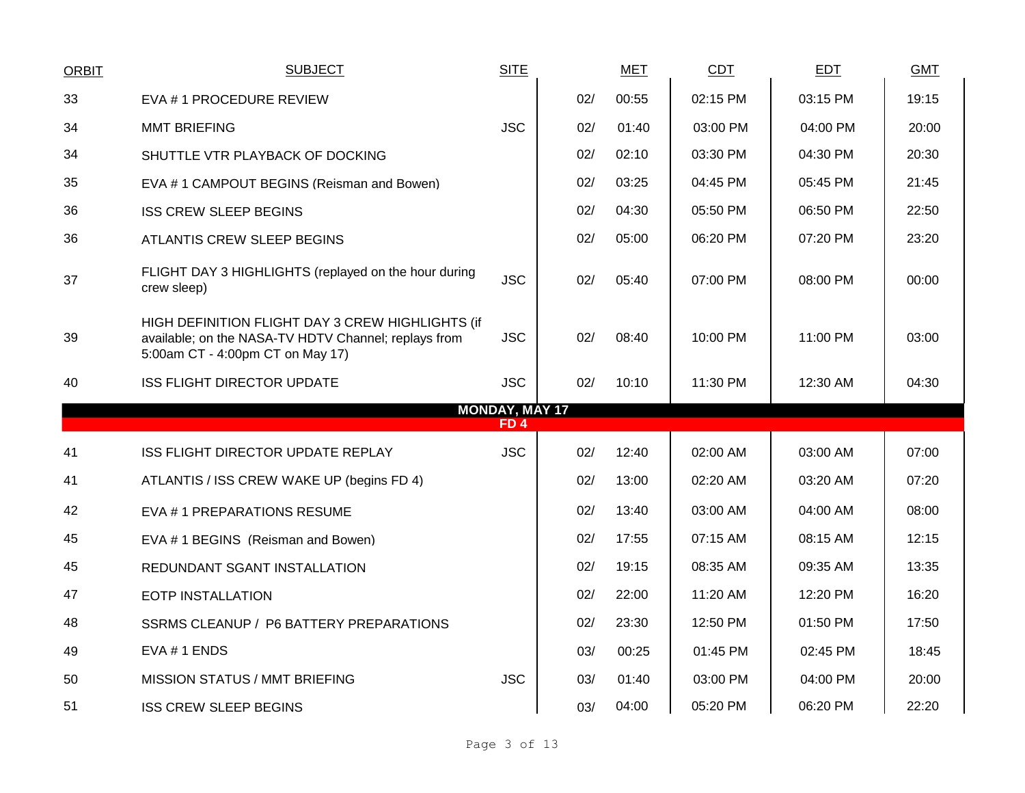| <b>ORBIT</b> | <b>SUBJECT</b>                                                                                                                               | <b>SITE</b>                         |     | <b>MET</b> | <b>CDT</b> | <b>EDT</b> | <b>GMT</b> |
|--------------|----------------------------------------------------------------------------------------------------------------------------------------------|-------------------------------------|-----|------------|------------|------------|------------|
| 33           | EVA #1 PROCEDURE REVIEW                                                                                                                      |                                     | 02/ | 00:55      | 02:15 PM   | 03:15 PM   | 19:15      |
| 34           | <b>MMT BRIEFING</b>                                                                                                                          | <b>JSC</b>                          | 02/ | 01:40      | 03:00 PM   | 04:00 PM   | 20:00      |
| 34           | SHUTTLE VTR PLAYBACK OF DOCKING                                                                                                              |                                     | 02/ | 02:10      | 03:30 PM   | 04:30 PM   | 20:30      |
| 35           | EVA #1 CAMPOUT BEGINS (Reisman and Bowen)                                                                                                    |                                     | 02/ | 03:25      | 04:45 PM   | 05:45 PM   | 21:45      |
| 36           | <b>ISS CREW SLEEP BEGINS</b>                                                                                                                 |                                     | 02/ | 04:30      | 05:50 PM   | 06:50 PM   | 22:50      |
| 36           | ATLANTIS CREW SLEEP BEGINS                                                                                                                   |                                     | 02/ | 05:00      | 06:20 PM   | 07:20 PM   | 23:20      |
| 37           | FLIGHT DAY 3 HIGHLIGHTS (replayed on the hour during<br>crew sleep)                                                                          | <b>JSC</b>                          | 02/ | 05:40      | 07:00 PM   | 08:00 PM   | 00:00      |
| 39           | HIGH DEFINITION FLIGHT DAY 3 CREW HIGHLIGHTS (if<br>available; on the NASA-TV HDTV Channel; replays from<br>5:00am CT - 4:00pm CT on May 17) | <b>JSC</b>                          | 02/ | 08:40      | 10:00 PM   | 11:00 PM   | 03:00      |
| 40           | <b>ISS FLIGHT DIRECTOR UPDATE</b>                                                                                                            | <b>JSC</b>                          | 02/ | 10:10      | 11:30 PM   | 12:30 AM   | 04:30      |
|              |                                                                                                                                              | <b>MONDAY, MAY 17</b><br><b>FD4</b> |     |            |            |            |            |
|              |                                                                                                                                              |                                     |     |            |            |            |            |
| 41           | ISS FLIGHT DIRECTOR UPDATE REPLAY                                                                                                            | <b>JSC</b>                          | 02/ | 12:40      | 02:00 AM   | 03:00 AM   | 07:00      |
| 41           | ATLANTIS / ISS CREW WAKE UP (begins FD 4)                                                                                                    |                                     | 02/ | 13:00      | 02:20 AM   | 03:20 AM   | 07:20      |
| 42           | EVA #1 PREPARATIONS RESUME                                                                                                                   |                                     | 02/ | 13:40      | 03:00 AM   | 04:00 AM   | 08:00      |
| 45           | EVA # 1 BEGINS (Reisman and Bowen)                                                                                                           |                                     | 02/ | 17:55      | 07:15 AM   | 08:15 AM   | 12:15      |
| 45           | REDUNDANT SGANT INSTALLATION                                                                                                                 |                                     | 02/ | 19:15      | 08:35 AM   | 09:35 AM   | 13:35      |
| 47           | <b>EOTP INSTALLATION</b>                                                                                                                     |                                     | 02/ | 22:00      | 11:20 AM   | 12:20 PM   | 16:20      |
| 48           | SSRMS CLEANUP / P6 BATTERY PREPARATIONS                                                                                                      |                                     | 02/ | 23:30      | 12:50 PM   | 01:50 PM   | 17:50      |
| 49           | EVA # 1 ENDS                                                                                                                                 |                                     | 03/ | 00:25      | 01:45 PM   | 02:45 PM   | 18:45      |
| 50           | <b>MISSION STATUS / MMT BRIEFING</b>                                                                                                         | <b>JSC</b>                          | 03/ | 01:40      | 03:00 PM   | 04:00 PM   | 20:00      |
| 51           | <b>ISS CREW SLEEP BEGINS</b>                                                                                                                 |                                     | 03/ | 04:00      | 05:20 PM   | 06:20 PM   | 22:20      |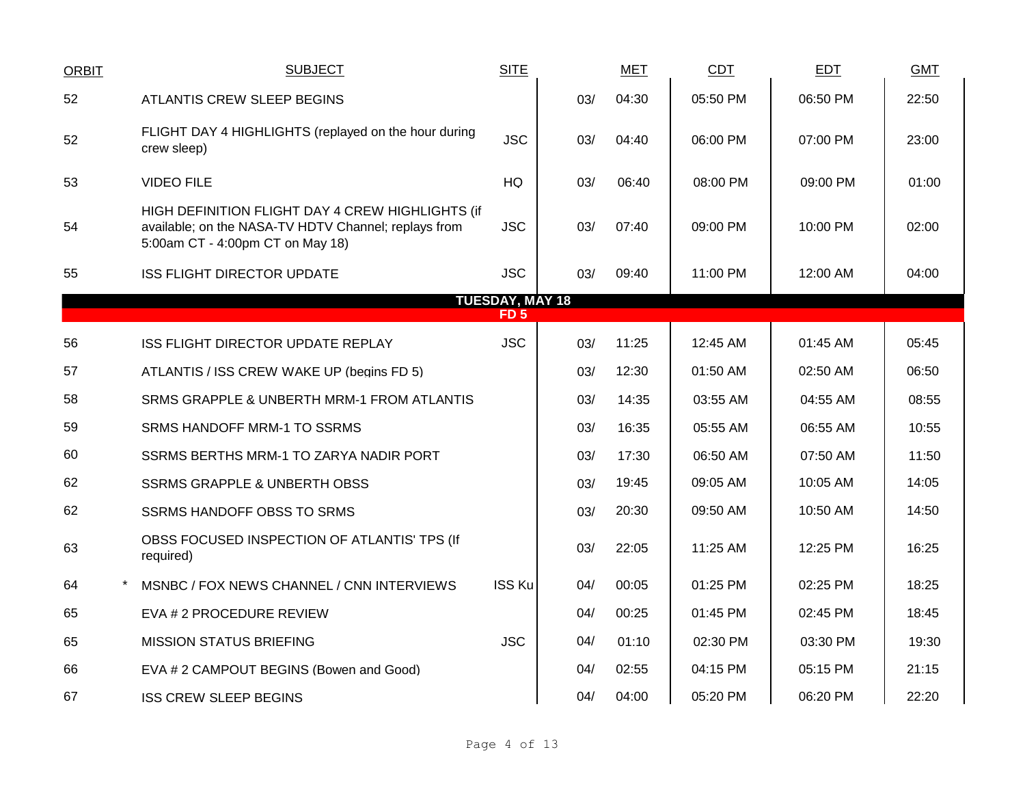| <b>ORBIT</b> | <b>SUBJECT</b>                                                                                                                               | <b>SITE</b>            |     | <b>MET</b> | CDT      | <b>EDT</b> | <b>GMT</b> |
|--------------|----------------------------------------------------------------------------------------------------------------------------------------------|------------------------|-----|------------|----------|------------|------------|
| 52           | <b>ATLANTIS CREW SLEEP BEGINS</b>                                                                                                            |                        | 03/ | 04:30      | 05:50 PM | 06:50 PM   | 22:50      |
| 52           | FLIGHT DAY 4 HIGHLIGHTS (replayed on the hour during<br>crew sleep)                                                                          | <b>JSC</b>             | 03/ | 04:40      | 06:00 PM | 07:00 PM   | 23:00      |
| 53           | <b>VIDEO FILE</b>                                                                                                                            | HQ                     | 03/ | 06:40      | 08:00 PM | 09:00 PM   | 01:00      |
| 54           | HIGH DEFINITION FLIGHT DAY 4 CREW HIGHLIGHTS (if<br>available; on the NASA-TV HDTV Channel; replays from<br>5:00am CT - 4:00pm CT on May 18) | <b>JSC</b>             | 03/ | 07:40      | 09:00 PM | 10:00 PM   | 02:00      |
| 55           | <b>ISS FLIGHT DIRECTOR UPDATE</b>                                                                                                            | <b>JSC</b>             | 03/ | 09:40      | 11:00 PM | 12:00 AM   | 04:00      |
|              |                                                                                                                                              | <b>TUESDAY, MAY 18</b> |     |            |          |            |            |
|              |                                                                                                                                              | FD <sub>5</sub>        |     |            |          |            |            |
| 56           | ISS FLIGHT DIRECTOR UPDATE REPLAY                                                                                                            | <b>JSC</b>             | 03/ | 11:25      | 12:45 AM | 01:45 AM   | 05:45      |
| 57           | ATLANTIS / ISS CREW WAKE UP (begins FD 5)                                                                                                    |                        | 03/ | 12:30      | 01:50 AM | 02:50 AM   | 06:50      |
| 58           | SRMS GRAPPLE & UNBERTH MRM-1 FROM ATLANTIS                                                                                                   |                        | 03/ | 14:35      | 03:55 AM | 04:55 AM   | 08:55      |
| 59           | <b>SRMS HANDOFF MRM-1 TO SSRMS</b>                                                                                                           |                        | 03/ | 16:35      | 05:55 AM | 06:55 AM   | 10:55      |
| 60           | SSRMS BERTHS MRM-1 TO ZARYA NADIR PORT                                                                                                       |                        | 03/ | 17:30      | 06:50 AM | 07:50 AM   | 11:50      |
| 62           | <b>SSRMS GRAPPLE &amp; UNBERTH OBSS</b>                                                                                                      |                        | 03/ | 19:45      | 09:05 AM | 10:05 AM   | 14:05      |
| 62           | <b>SSRMS HANDOFF OBSS TO SRMS</b>                                                                                                            |                        | 03/ | 20:30      | 09:50 AM | 10:50 AM   | 14:50      |
| 63           | OBSS FOCUSED INSPECTION OF ATLANTIS' TPS (If<br>required)                                                                                    |                        | 03/ | 22:05      | 11:25 AM | 12:25 PM   | 16:25      |
| 64           | MSNBC / FOX NEWS CHANNEL / CNN INTERVIEWS                                                                                                    | <b>ISS Ku</b>          | 04/ | 00:05      | 01:25 PM | 02:25 PM   | 18:25      |
| 65           | EVA # 2 PROCEDURE REVIEW                                                                                                                     |                        | 04/ | 00:25      | 01:45 PM | 02:45 PM   | 18:45      |
| 65           | <b>MISSION STATUS BRIEFING</b>                                                                                                               | <b>JSC</b>             | 04/ | 01:10      | 02:30 PM | 03:30 PM   | 19:30      |
| 66           | EVA # 2 CAMPOUT BEGINS (Bowen and Good)                                                                                                      |                        | 04/ | 02:55      | 04:15 PM | 05:15 PM   | 21:15      |
| 67           | <b>ISS CREW SLEEP BEGINS</b>                                                                                                                 |                        | 04/ | 04:00      | 05:20 PM | 06:20 PM   | 22:20      |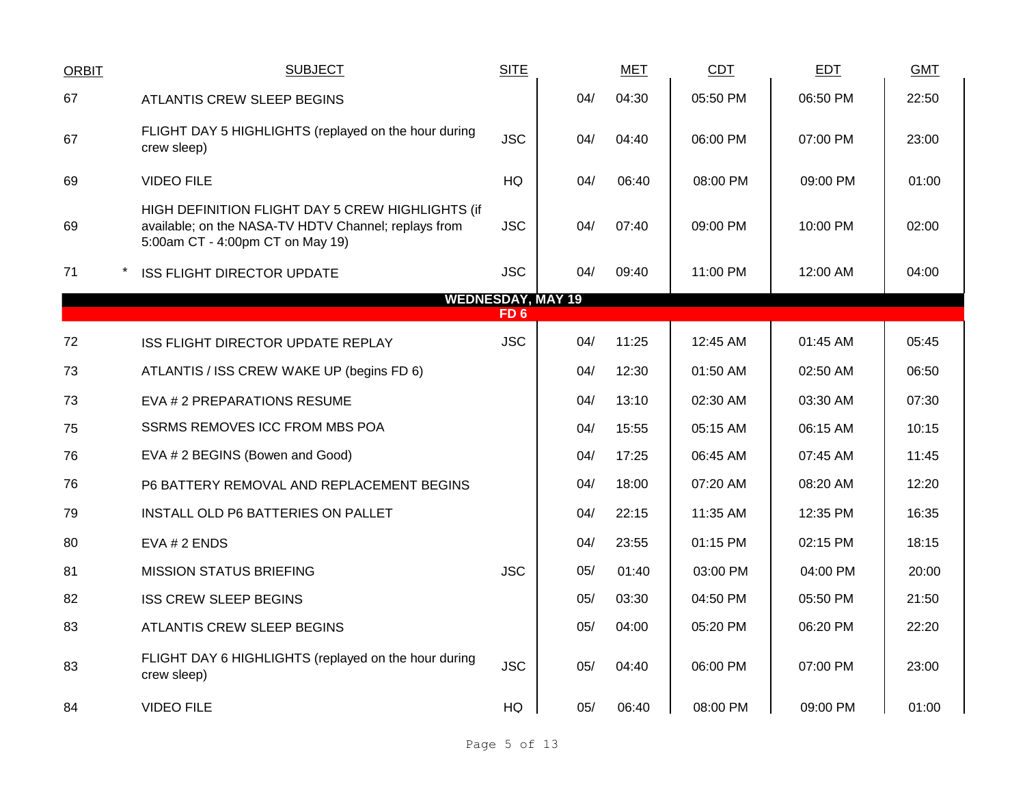| <b>ORBIT</b> | <b>SUBJECT</b>                                                                                                                               | <b>SITE</b> |                          | <b>MET</b> | <b>CDT</b> | <b>EDT</b> | <b>GMT</b> |
|--------------|----------------------------------------------------------------------------------------------------------------------------------------------|-------------|--------------------------|------------|------------|------------|------------|
| 67           | ATLANTIS CREW SLEEP BEGINS                                                                                                                   |             | 04/                      | 04:30      | 05:50 PM   | 06:50 PM   | 22:50      |
| 67           | FLIGHT DAY 5 HIGHLIGHTS (replayed on the hour during<br>crew sleep)                                                                          | <b>JSC</b>  | 04/                      | 04:40      | 06:00 PM   | 07:00 PM   | 23:00      |
| 69           | <b>VIDEO FILE</b>                                                                                                                            | HQ          | 04/                      | 06:40      | 08:00 PM   | 09:00 PM   | 01:00      |
| 69           | HIGH DEFINITION FLIGHT DAY 5 CREW HIGHLIGHTS (if<br>available; on the NASA-TV HDTV Channel; replays from<br>5:00am CT - 4:00pm CT on May 19) | <b>JSC</b>  | 04/                      | 07:40      | 09:00 PM   | 10:00 PM   | 02:00      |
| 71           | <b>ISS FLIGHT DIRECTOR UPDATE</b>                                                                                                            | <b>JSC</b>  | 04/                      | 09:40      | 11:00 PM   | 12:00 AM   | 04:00      |
|              |                                                                                                                                              | FD 6        | <b>WEDNESDAY, MAY 19</b> |            |            |            |            |
|              |                                                                                                                                              |             |                          |            |            |            |            |
| 72           | ISS FLIGHT DIRECTOR UPDATE REPLAY                                                                                                            | <b>JSC</b>  | 04/                      | 11:25      | 12:45 AM   | 01:45 AM   | 05:45      |
| 73           | ATLANTIS / ISS CREW WAKE UP (begins FD 6)                                                                                                    |             | 04/                      | 12:30      | 01:50 AM   | 02:50 AM   | 06:50      |
| 73           | EVA # 2 PREPARATIONS RESUME                                                                                                                  |             | 04/                      | 13:10      | 02:30 AM   | 03:30 AM   | 07:30      |
| 75           | <b>SSRMS REMOVES ICC FROM MBS POA</b>                                                                                                        |             | 04/                      | 15:55      | 05:15 AM   | 06:15 AM   | 10:15      |
| 76           | EVA # 2 BEGINS (Bowen and Good)                                                                                                              |             | 04/                      | 17:25      | 06:45 AM   | 07:45 AM   | 11:45      |
| 76           | P6 BATTERY REMOVAL AND REPLACEMENT BEGINS                                                                                                    |             | 04/                      | 18:00      | 07:20 AM   | 08:20 AM   | 12:20      |
| 79           | INSTALL OLD P6 BATTERIES ON PALLET                                                                                                           |             | 04/                      | 22:15      | 11:35 AM   | 12:35 PM   | 16:35      |
| 80           | EVA # 2 ENDS                                                                                                                                 |             | 04/                      | 23:55      | 01:15 PM   | 02:15 PM   | 18:15      |
| 81           | <b>MISSION STATUS BRIEFING</b>                                                                                                               | <b>JSC</b>  | 05/                      | 01:40      | 03:00 PM   | 04:00 PM   | 20:00      |
| 82           | <b>ISS CREW SLEEP BEGINS</b>                                                                                                                 |             | 05/                      | 03:30      | 04:50 PM   | 05:50 PM   | 21:50      |
| 83           | ATLANTIS CREW SLEEP BEGINS                                                                                                                   |             | 05/                      | 04:00      | 05:20 PM   | 06:20 PM   | 22:20      |
| 83           | FLIGHT DAY 6 HIGHLIGHTS (replayed on the hour during<br>crew sleep)                                                                          | <b>JSC</b>  | 05/                      | 04:40      | 06:00 PM   | 07:00 PM   | 23:00      |
| 84           | <b>VIDEO FILE</b>                                                                                                                            | HQ          | 05/                      | 06:40      | 08:00 PM   | 09:00 PM   | 01:00      |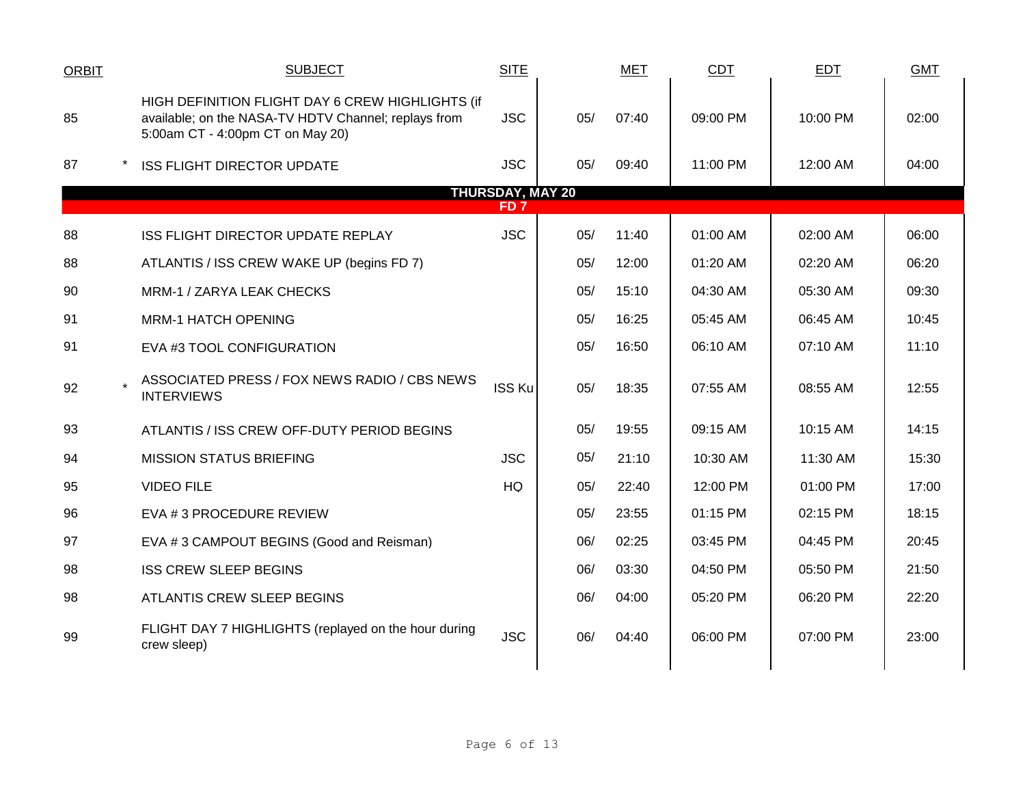| <b>ORBIT</b> | <b>SUBJECT</b>                                                                                                                               | <b>SITE</b>   |     | <b>MET</b> | <b>CDT</b> | <b>EDT</b> | <b>GMT</b> |  |  |  |  |
|--------------|----------------------------------------------------------------------------------------------------------------------------------------------|---------------|-----|------------|------------|------------|------------|--|--|--|--|
| 85           | HIGH DEFINITION FLIGHT DAY 6 CREW HIGHLIGHTS (if<br>available; on the NASA-TV HDTV Channel; replays from<br>5:00am CT - 4:00pm CT on May 20) | <b>JSC</b>    | 05/ | 07:40      | 09:00 PM   | 10:00 PM   | 02:00      |  |  |  |  |
| 87           | <b>ISS FLIGHT DIRECTOR UPDATE</b>                                                                                                            | <b>JSC</b>    | 05/ | 09:40      | 11:00 PM   | 12:00 AM   | 04:00      |  |  |  |  |
|              | <b>THURSDAY, MAY 20</b><br>FD 7                                                                                                              |               |     |            |            |            |            |  |  |  |  |
| 88           | ISS FLIGHT DIRECTOR UPDATE REPLAY                                                                                                            | <b>JSC</b>    | 05/ | 11:40      | 01:00 AM   | 02:00 AM   | 06:00      |  |  |  |  |
| 88           | ATLANTIS / ISS CREW WAKE UP (begins FD 7)                                                                                                    |               | 05/ | 12:00      | 01:20 AM   | 02:20 AM   | 06:20      |  |  |  |  |
| 90           | MRM-1 / ZARYA LEAK CHECKS                                                                                                                    |               | 05/ | 15:10      | 04:30 AM   | 05:30 AM   | 09:30      |  |  |  |  |
| 91           | <b>MRM-1 HATCH OPENING</b>                                                                                                                   |               | 05/ | 16:25      | 05:45 AM   | 06:45 AM   | 10:45      |  |  |  |  |
| 91           | EVA #3 TOOL CONFIGURATION                                                                                                                    |               | 05/ | 16:50      | 06:10 AM   | 07:10 AM   | 11:10      |  |  |  |  |
| 92           | ASSOCIATED PRESS / FOX NEWS RADIO / CBS NEWS<br><b>INTERVIEWS</b>                                                                            | <b>ISS Ku</b> | 05/ | 18:35      | 07:55 AM   | 08:55 AM   | 12:55      |  |  |  |  |
| 93           | ATLANTIS / ISS CREW OFF-DUTY PERIOD BEGINS                                                                                                   |               | 05/ | 19:55      | 09:15 AM   | 10:15 AM   | 14:15      |  |  |  |  |
| 94           | <b>MISSION STATUS BRIEFING</b>                                                                                                               | <b>JSC</b>    | 05/ | 21:10      | 10:30 AM   | 11:30 AM   | 15:30      |  |  |  |  |
| 95           | <b>VIDEO FILE</b>                                                                                                                            | HQ            | 05/ | 22:40      | 12:00 PM   | 01:00 PM   | 17:00      |  |  |  |  |
| 96           | EVA # 3 PROCEDURE REVIEW                                                                                                                     |               | 05/ | 23:55      | 01:15 PM   | 02:15 PM   | 18:15      |  |  |  |  |
| 97           | EVA #3 CAMPOUT BEGINS (Good and Reisman)                                                                                                     |               | 06/ | 02:25      | 03:45 PM   | 04:45 PM   | 20:45      |  |  |  |  |
| 98           | <b>ISS CREW SLEEP BEGINS</b>                                                                                                                 |               | 06/ | 03:30      | 04:50 PM   | 05:50 PM   | 21:50      |  |  |  |  |
| 98           | ATLANTIS CREW SLEEP BEGINS                                                                                                                   |               | 06/ | 04:00      | 05:20 PM   | 06:20 PM   | 22:20      |  |  |  |  |
| 99           | FLIGHT DAY 7 HIGHLIGHTS (replayed on the hour during<br>crew sleep)                                                                          | <b>JSC</b>    | 06/ | 04:40      | 06:00 PM   | 07:00 PM   | 23:00      |  |  |  |  |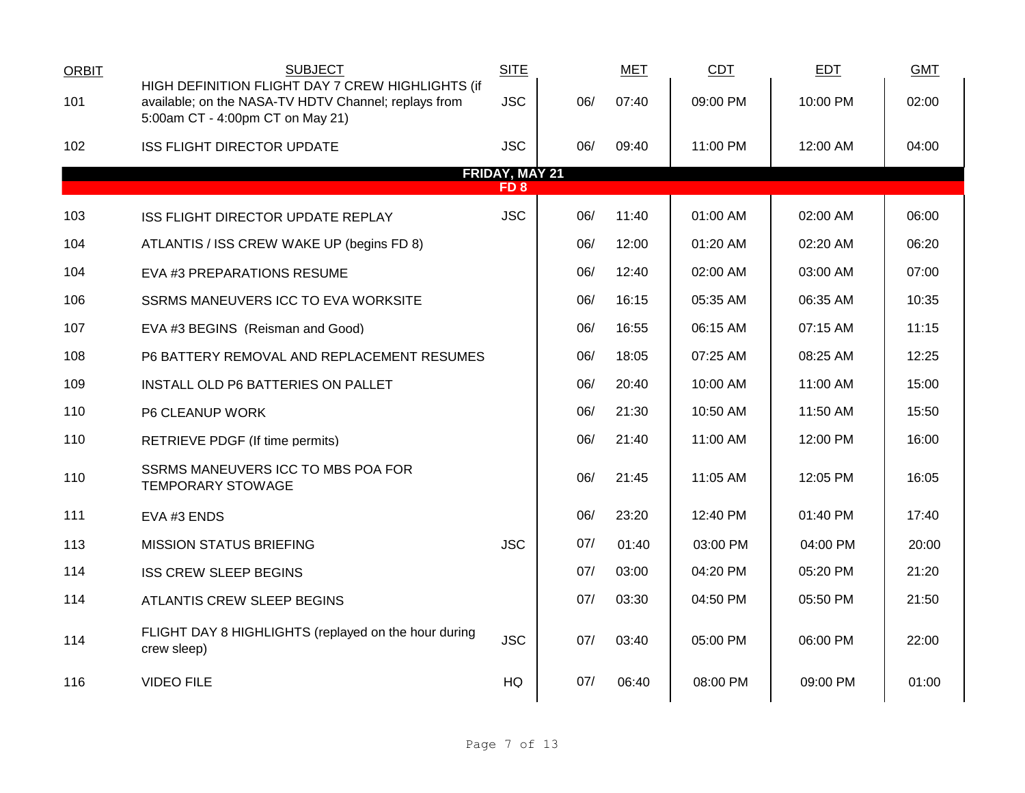| <b>ORBIT</b> | <b>SUBJECT</b>                                                                                                                               | <b>SITE</b>                              |     | <b>MET</b> | CDT      | <b>EDT</b> | <b>GMT</b> |
|--------------|----------------------------------------------------------------------------------------------------------------------------------------------|------------------------------------------|-----|------------|----------|------------|------------|
| 101          | HIGH DEFINITION FLIGHT DAY 7 CREW HIGHLIGHTS (if<br>available; on the NASA-TV HDTV Channel; replays from<br>5:00am CT - 4:00pm CT on May 21) | <b>JSC</b>                               | 06/ | 07:40      | 09:00 PM | 10:00 PM   | 02:00      |
| 102          | <b>ISS FLIGHT DIRECTOR UPDATE</b>                                                                                                            | <b>JSC</b>                               | 06/ | 09:40      | 11:00 PM | 12:00 AM   | 04:00      |
|              |                                                                                                                                              | <b>FRIDAY, MAY 21</b><br>FD <sub>8</sub> |     |            |          |            |            |
| 103          | ISS FLIGHT DIRECTOR UPDATE REPLAY                                                                                                            | <b>JSC</b>                               | 06/ | 11:40      | 01:00 AM | 02:00 AM   | 06:00      |
| 104          | ATLANTIS / ISS CREW WAKE UP (begins FD 8)                                                                                                    |                                          | 06/ | 12:00      | 01:20 AM | 02:20 AM   | 06:20      |
| 104          | EVA #3 PREPARATIONS RESUME                                                                                                                   |                                          | 06/ | 12:40      | 02:00 AM | 03:00 AM   | 07:00      |
| 106          | SSRMS MANEUVERS ICC TO EVA WORKSITE                                                                                                          |                                          | 06/ | 16:15      | 05:35 AM | 06:35 AM   | 10:35      |
| 107          | EVA #3 BEGINS (Reisman and Good)                                                                                                             |                                          | 06/ | 16:55      | 06:15 AM | 07:15 AM   | 11:15      |
| 108          | P6 BATTERY REMOVAL AND REPLACEMENT RESUMES                                                                                                   |                                          | 06/ | 18:05      | 07:25 AM | 08:25 AM   | 12:25      |
| 109          | INSTALL OLD P6 BATTERIES ON PALLET                                                                                                           |                                          | 06/ | 20:40      | 10:00 AM | 11:00 AM   | 15:00      |
| 110          | P6 CLEANUP WORK                                                                                                                              |                                          | 06/ | 21:30      | 10:50 AM | 11:50 AM   | 15:50      |
| 110          | RETRIEVE PDGF (If time permits)                                                                                                              |                                          | 06/ | 21:40      | 11:00 AM | 12:00 PM   | 16:00      |
| 110          | SSRMS MANEUVERS ICC TO MBS POA FOR<br><b>TEMPORARY STOWAGE</b>                                                                               |                                          | 06/ | 21:45      | 11:05 AM | 12:05 PM   | 16:05      |
| 111          | EVA #3 ENDS                                                                                                                                  |                                          | 06/ | 23:20      | 12:40 PM | 01:40 PM   | 17:40      |
| 113          | <b>MISSION STATUS BRIEFING</b>                                                                                                               | <b>JSC</b>                               | 07/ | 01:40      | 03:00 PM | 04:00 PM   | 20:00      |
| 114          | <b>ISS CREW SLEEP BEGINS</b>                                                                                                                 |                                          | 07/ | 03:00      | 04:20 PM | 05:20 PM   | 21:20      |
| 114          | ATLANTIS CREW SLEEP BEGINS                                                                                                                   |                                          | 07/ | 03:30      | 04:50 PM | 05:50 PM   | 21:50      |
| 114          | FLIGHT DAY 8 HIGHLIGHTS (replayed on the hour during<br>crew sleep)                                                                          | <b>JSC</b>                               | 07/ | 03:40      | 05:00 PM | 06:00 PM   | 22:00      |
| 116          | <b>VIDEO FILE</b>                                                                                                                            | HQ                                       | 07/ | 06:40      | 08:00 PM | 09:00 PM   | 01:00      |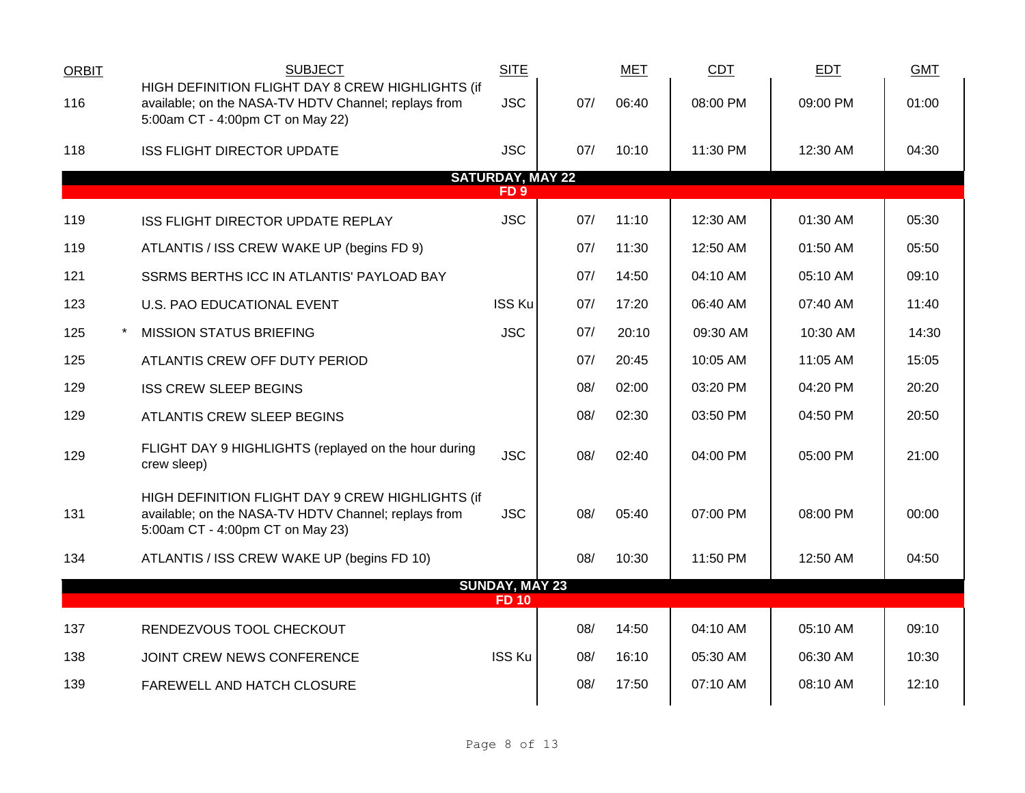| <b>SUBJECT</b>                                                                                                                               | <b>SITE</b>                                      |     | MET                                              | <b>CDT</b> | <b>EDT</b> | <b>GMT</b> |  |
|----------------------------------------------------------------------------------------------------------------------------------------------|--------------------------------------------------|-----|--------------------------------------------------|------------|------------|------------|--|
| available; on the NASA-TV HDTV Channel; replays from<br>5:00am CT - 4:00pm CT on May 22)                                                     | <b>JSC</b>                                       | 07/ | 06:40                                            | 08:00 PM   | 09:00 PM   | 01:00      |  |
| <b>ISS FLIGHT DIRECTOR UPDATE</b>                                                                                                            | <b>JSC</b>                                       | 07/ | 10:10                                            | 11:30 PM   | 12:30 AM   | 04:30      |  |
|                                                                                                                                              | FD <sub>9</sub>                                  |     |                                                  |            |            |            |  |
| <b>ISS FLIGHT DIRECTOR UPDATE REPLAY</b>                                                                                                     | <b>JSC</b>                                       | 07/ | 11:10                                            | 12:30 AM   | 01:30 AM   | 05:30      |  |
| ATLANTIS / ISS CREW WAKE UP (begins FD 9)                                                                                                    |                                                  | 07/ | 11:30                                            | 12:50 AM   | 01:50 AM   | 05:50      |  |
| SSRMS BERTHS ICC IN ATLANTIS' PAYLOAD BAY                                                                                                    |                                                  | 07/ | 14:50                                            | 04:10 AM   | 05:10 AM   | 09:10      |  |
| U.S. PAO EDUCATIONAL EVENT                                                                                                                   | <b>ISS Ku</b>                                    | 07/ | 17:20                                            | 06:40 AM   | 07:40 AM   | 11:40      |  |
| <b>MISSION STATUS BRIEFING</b>                                                                                                               | <b>JSC</b>                                       | 07/ | 20:10                                            | 09:30 AM   | 10:30 AM   | 14:30      |  |
| ATLANTIS CREW OFF DUTY PERIOD                                                                                                                |                                                  | 07/ | 20:45                                            | 10:05 AM   | 11:05 AM   | 15:05      |  |
| <b>ISS CREW SLEEP BEGINS</b>                                                                                                                 |                                                  | 08/ | 02:00                                            | 03:20 PM   | 04:20 PM   | 20:20      |  |
| ATLANTIS CREW SLEEP BEGINS                                                                                                                   |                                                  | 08/ | 02:30                                            | 03:50 PM   | 04:50 PM   | 20:50      |  |
| FLIGHT DAY 9 HIGHLIGHTS (replayed on the hour during<br>crew sleep)                                                                          | <b>JSC</b>                                       | 08/ | 02:40                                            | 04:00 PM   | 05:00 PM   | 21:00      |  |
| HIGH DEFINITION FLIGHT DAY 9 CREW HIGHLIGHTS (if<br>available; on the NASA-TV HDTV Channel; replays from<br>5:00am CT - 4:00pm CT on May 23) | <b>JSC</b>                                       | 08/ | 05:40                                            | 07:00 PM   | 08:00 PM   | 00:00      |  |
| ATLANTIS / ISS CREW WAKE UP (begins FD 10)                                                                                                   |                                                  | 08/ | 10:30                                            | 11:50 PM   | 12:50 AM   | 04:50      |  |
|                                                                                                                                              | <b>FD 10</b>                                     |     |                                                  |            |            |            |  |
| RENDEZVOUS TOOL CHECKOUT                                                                                                                     |                                                  | 08/ | 14:50                                            | 04:10 AM   | 05:10 AM   | 09:10      |  |
| JOINT CREW NEWS CONFERENCE                                                                                                                   | <b>ISS Ku</b>                                    | 08/ | 16:10                                            | 05:30 AM   | 06:30 AM   | 10:30      |  |
| FAREWELL AND HATCH CLOSURE                                                                                                                   |                                                  | 08/ | 17:50                                            | 07:10 AM   | 08:10 AM   | 12:10      |  |
|                                                                                                                                              | HIGH DEFINITION FLIGHT DAY 8 CREW HIGHLIGHTS (if |     | <b>SATURDAY, MAY 22</b><br><b>SUNDAY, MAY 23</b> |            |            |            |  |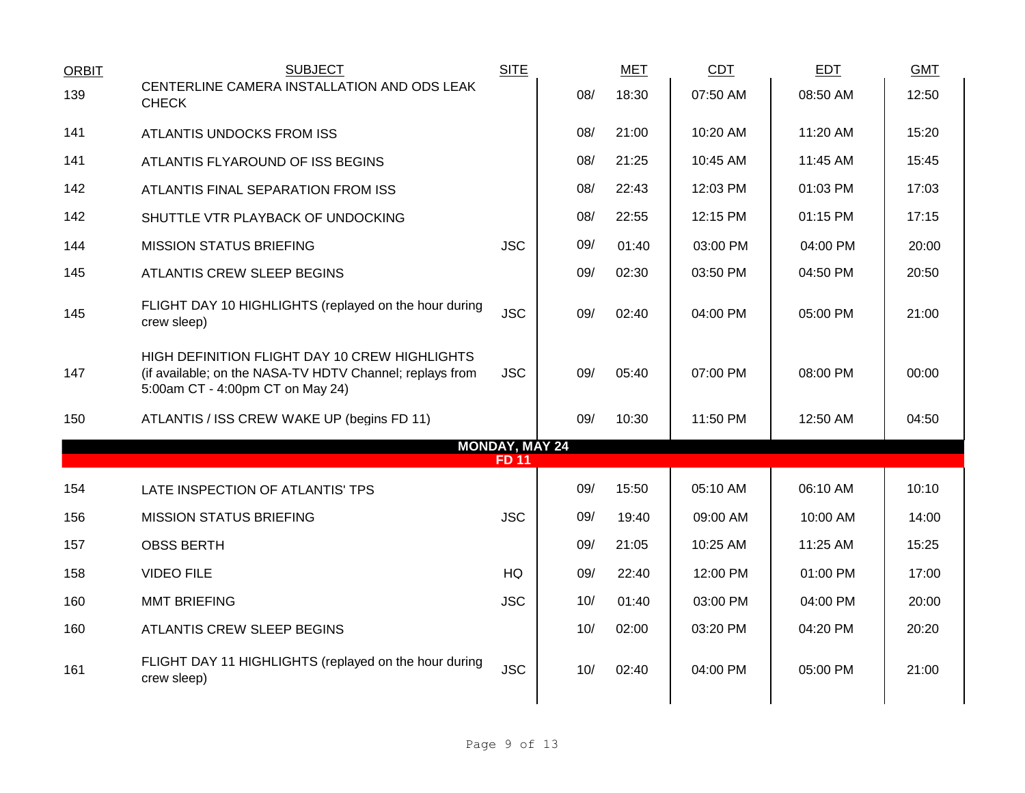| <b>ORBIT</b> | <b>SUBJECT</b>                                                                                                                                | <b>SITE</b>                           |     | <b>MET</b> | CDT      | <b>EDT</b> | <b>GMT</b> |
|--------------|-----------------------------------------------------------------------------------------------------------------------------------------------|---------------------------------------|-----|------------|----------|------------|------------|
| 139          | CENTERLINE CAMERA INSTALLATION AND ODS LEAK<br><b>CHECK</b>                                                                                   |                                       | 08/ | 18:30      | 07:50 AM | 08:50 AM   | 12:50      |
| 141          | ATLANTIS UNDOCKS FROM ISS                                                                                                                     |                                       | 08/ | 21:00      | 10:20 AM | 11:20 AM   | 15:20      |
| 141          | ATLANTIS FLYAROUND OF ISS BEGINS                                                                                                              |                                       | 08/ | 21:25      | 10:45 AM | 11:45 AM   | 15:45      |
| 142          | ATLANTIS FINAL SEPARATION FROM ISS                                                                                                            |                                       | 08/ | 22:43      | 12:03 PM | 01:03 PM   | 17:03      |
| 142          | SHUTTLE VTR PLAYBACK OF UNDOCKING                                                                                                             |                                       | 08/ | 22:55      | 12:15 PM | 01:15 PM   | 17:15      |
| 144          | <b>MISSION STATUS BRIEFING</b>                                                                                                                | <b>JSC</b>                            | 09/ | 01:40      | 03:00 PM | 04:00 PM   | 20:00      |
| 145          | ATLANTIS CREW SLEEP BEGINS                                                                                                                    |                                       | 09/ | 02:30      | 03:50 PM | 04:50 PM   | 20:50      |
| 145          | FLIGHT DAY 10 HIGHLIGHTS (replayed on the hour during<br>crew sleep)                                                                          | <b>JSC</b>                            | 09/ | 02:40      | 04:00 PM | 05:00 PM   | 21:00      |
| 147          | HIGH DEFINITION FLIGHT DAY 10 CREW HIGHLIGHTS<br>(if available; on the NASA-TV HDTV Channel; replays from<br>5:00am CT - 4:00pm CT on May 24) | <b>JSC</b>                            | 09/ | 05:40      | 07:00 PM | 08:00 PM   | 00:00      |
| 150          | ATLANTIS / ISS CREW WAKE UP (begins FD 11)                                                                                                    |                                       | 09/ | 10:30      | 11:50 PM | 12:50 AM   | 04:50      |
|              |                                                                                                                                               | <b>MONDAY, MAY 24</b><br><b>FD 11</b> |     |            |          |            |            |
| 154          |                                                                                                                                               |                                       | 09/ | 15:50      | 05:10 AM | 06:10 AM   | 10:10      |
|              | LATE INSPECTION OF ATLANTIS' TPS                                                                                                              |                                       |     |            |          |            |            |
| 156          | <b>MISSION STATUS BRIEFING</b>                                                                                                                | <b>JSC</b>                            | 09/ | 19:40      | 09:00 AM | 10:00 AM   | 14:00      |
| 157          | <b>OBSS BERTH</b>                                                                                                                             |                                       | 09/ | 21:05      | 10:25 AM | 11:25 AM   | 15:25      |
| 158          | <b>VIDEO FILE</b>                                                                                                                             | HQ                                    | 09/ | 22:40      | 12:00 PM | 01:00 PM   | 17:00      |
| 160          | <b>MMT BRIEFING</b>                                                                                                                           | <b>JSC</b>                            | 10/ | 01:40      | 03:00 PM | 04:00 PM   | 20:00      |
| 160          | ATLANTIS CREW SLEEP BEGINS                                                                                                                    |                                       | 10/ | 02:00      | 03:20 PM | 04:20 PM   | 20:20      |
| 161          | FLIGHT DAY 11 HIGHLIGHTS (replayed on the hour during<br>crew sleep)                                                                          | <b>JSC</b>                            | 10/ | 02:40      | 04:00 PM | 05:00 PM   | 21:00      |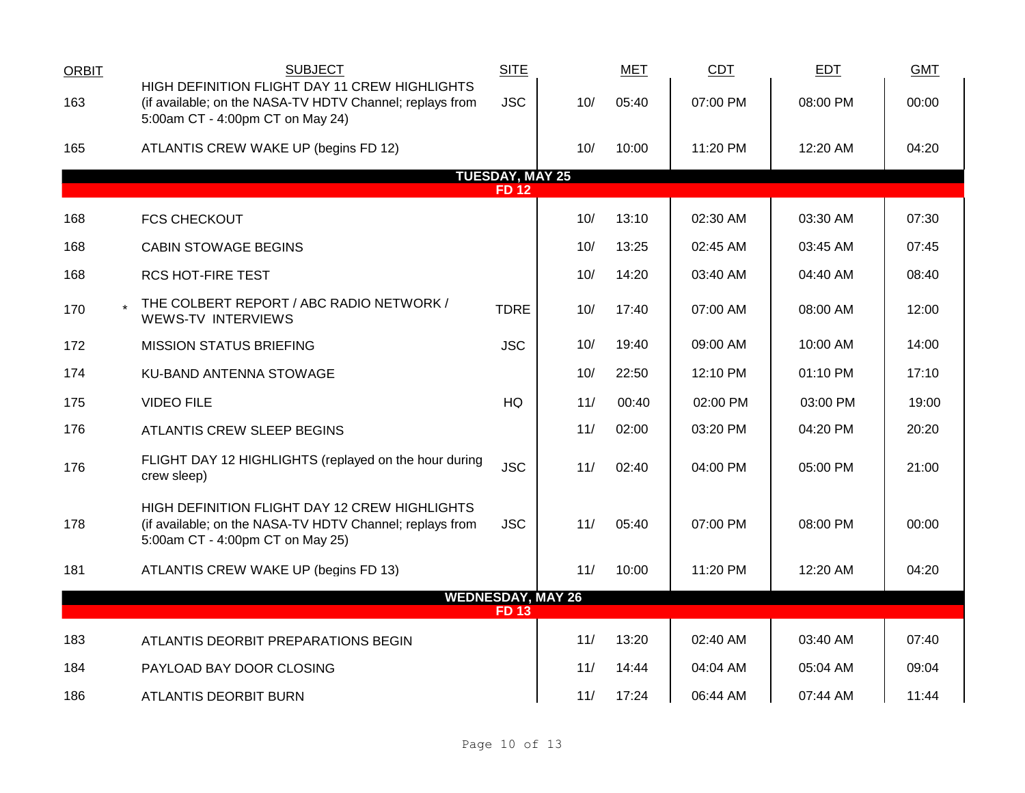| <b>ORBIT</b> | <b>SUBJECT</b>                                                                                                                                | <b>SITE</b>                           |                          | <b>MET</b> | CDT        | EDT      | <b>GMT</b> |
|--------------|-----------------------------------------------------------------------------------------------------------------------------------------------|---------------------------------------|--------------------------|------------|------------|----------|------------|
| 163          | HIGH DEFINITION FLIGHT DAY 11 CREW HIGHLIGHTS<br>(if available; on the NASA-TV HDTV Channel; replays from<br>5:00am CT - 4:00pm CT on May 24) | <b>JSC</b>                            | 10/                      | 05:40      | 07:00 PM   | 08:00 PM | 00:00      |
| 165          | ATLANTIS CREW WAKE UP (begins FD 12)                                                                                                          |                                       | 10/                      | 10:00      | 11:20 PM   | 12:20 AM | 04:20      |
|              |                                                                                                                                               | <b>TUESDAY, MAY 25</b><br><b>FD12</b> |                          |            |            |          |            |
| 168          | <b>FCS CHECKOUT</b>                                                                                                                           |                                       | 10/                      | 13:10      | 02:30 AM   | 03:30 AM | 07:30      |
| 168          | <b>CABIN STOWAGE BEGINS</b>                                                                                                                   |                                       | 10/                      | 13:25      | 02:45 AM   | 03:45 AM | 07:45      |
| 168          | <b>RCS HOT-FIRE TEST</b>                                                                                                                      |                                       | 10/                      | 14:20      | 03:40 AM   | 04:40 AM | 08:40      |
| 170          | THE COLBERT REPORT / ABC RADIO NETWORK /<br><b>WEWS-TV INTERVIEWS</b>                                                                         | <b>TDRE</b>                           | 10/                      | 17:40      | 07:00 AM   | 08:00 AM | 12:00      |
| 172          | <b>MISSION STATUS BRIEFING</b>                                                                                                                | <b>JSC</b>                            | 10/                      | 19:40      | 09:00 AM   | 10:00 AM | 14:00      |
| 174          | KU-BAND ANTENNA STOWAGE                                                                                                                       |                                       | 10/                      | 22:50      | 12:10 PM   | 01:10 PM | 17:10      |
| 175          | <b>VIDEO FILE</b>                                                                                                                             | HQ                                    | 11/                      | 00:40      | 02:00 PM   | 03:00 PM | 19:00      |
| 176          | ATLANTIS CREW SLEEP BEGINS                                                                                                                    |                                       | 11/                      | 02:00      | 03:20 PM   | 04:20 PM | 20:20      |
| 176          | FLIGHT DAY 12 HIGHLIGHTS (replayed on the hour during<br>crew sleep)                                                                          | <b>JSC</b>                            | 11/                      | 02:40      | 04:00 PM   | 05:00 PM | 21:00      |
| 178          | HIGH DEFINITION FLIGHT DAY 12 CREW HIGHLIGHTS<br>(if available; on the NASA-TV HDTV Channel; replays from<br>5:00am CT - 4:00pm CT on May 25) | <b>JSC</b>                            | 11/                      | 05:40      | 07:00 PM   | 08:00 PM | 00:00      |
| 181          | ATLANTIS CREW WAKE UP (begins FD 13)                                                                                                          |                                       | 11/                      | 10:00      | 11:20 PM   | 12:20 AM | 04:20      |
|              |                                                                                                                                               | <b>FD13</b>                           | <b>WEDNESDAY, MAY 26</b> |            |            |          |            |
| 183          | ATLANTIS DEORBIT PREPARATIONS BEGIN                                                                                                           |                                       | 11/                      | 13:20      | $02:40$ AM | 03:40 AM | 07:40      |
| 184          | PAYLOAD BAY DOOR CLOSING                                                                                                                      |                                       | 11/                      | 14:44      | 04:04 AM   | 05:04 AM | 09:04      |
| 186          | ATLANTIS DEORBIT BURN                                                                                                                         |                                       | 11/                      | 17:24      | 06:44 AM   | 07:44 AM | 11:44      |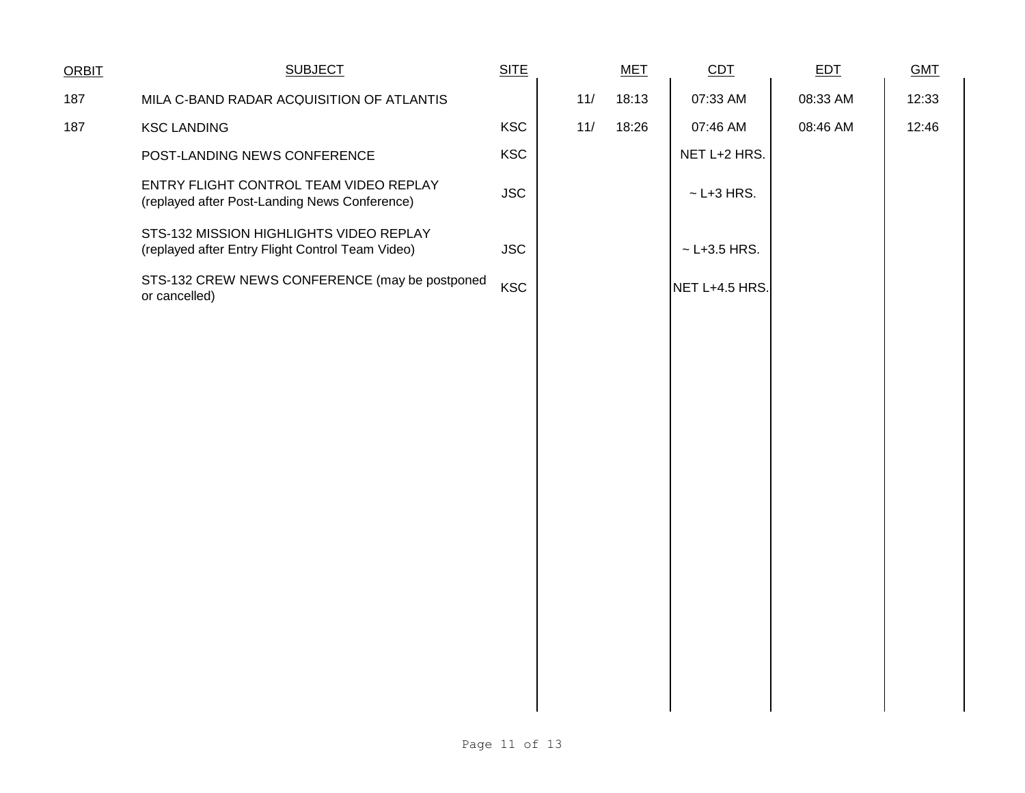| <b>SUBJECT</b>                                                                              | <b>SITE</b> |  | <b>MET</b> | CDT                | <b>EDT</b> | <b>GMT</b> |
|---------------------------------------------------------------------------------------------|-------------|--|------------|--------------------|------------|------------|
| MILA C-BAND RADAR ACQUISITION OF ATLANTIS                                                   |             |  | 18:13      | 07:33 AM           | 08:33 AM   | 12:33      |
| <b>KSC LANDING</b>                                                                          | <b>KSC</b>  |  | 18:26      | 07:46 AM           | 08:46 AM   | 12:46      |
| POST-LANDING NEWS CONFERENCE                                                                | <b>KSC</b>  |  |            | NET L+2 HRS.       |            |            |
| ENTRY FLIGHT CONTROL TEAM VIDEO REPLAY<br>(replayed after Post-Landing News Conference)     | <b>JSC</b>  |  |            | $\sim$ L+3 HRS.    |            |            |
| STS-132 MISSION HIGHLIGHTS VIDEO REPLAY<br>(replayed after Entry Flight Control Team Video) | <b>JSC</b>  |  |            | $~\sim$ L+3.5 HRS. |            |            |
| STS-132 CREW NEWS CONFERENCE (may be postponed<br>or cancelled)                             | <b>KSC</b>  |  |            | NET L+4.5 HRS.     |            |            |
|                                                                                             |             |  |            |                    |            |            |
|                                                                                             |             |  |            |                    |            |            |
|                                                                                             |             |  |            |                    |            |            |
|                                                                                             |             |  |            |                    |            |            |
|                                                                                             |             |  |            |                    |            |            |
|                                                                                             |             |  |            |                    |            |            |
|                                                                                             |             |  |            |                    |            |            |
|                                                                                             |             |  |            |                    |            |            |
|                                                                                             |             |  |            |                    |            |            |
|                                                                                             |             |  |            |                    |            |            |
|                                                                                             |             |  |            |                    |            |            |
|                                                                                             |             |  |            |                    |            |            |
|                                                                                             |             |  | 11/<br>11/ |                    |            |            |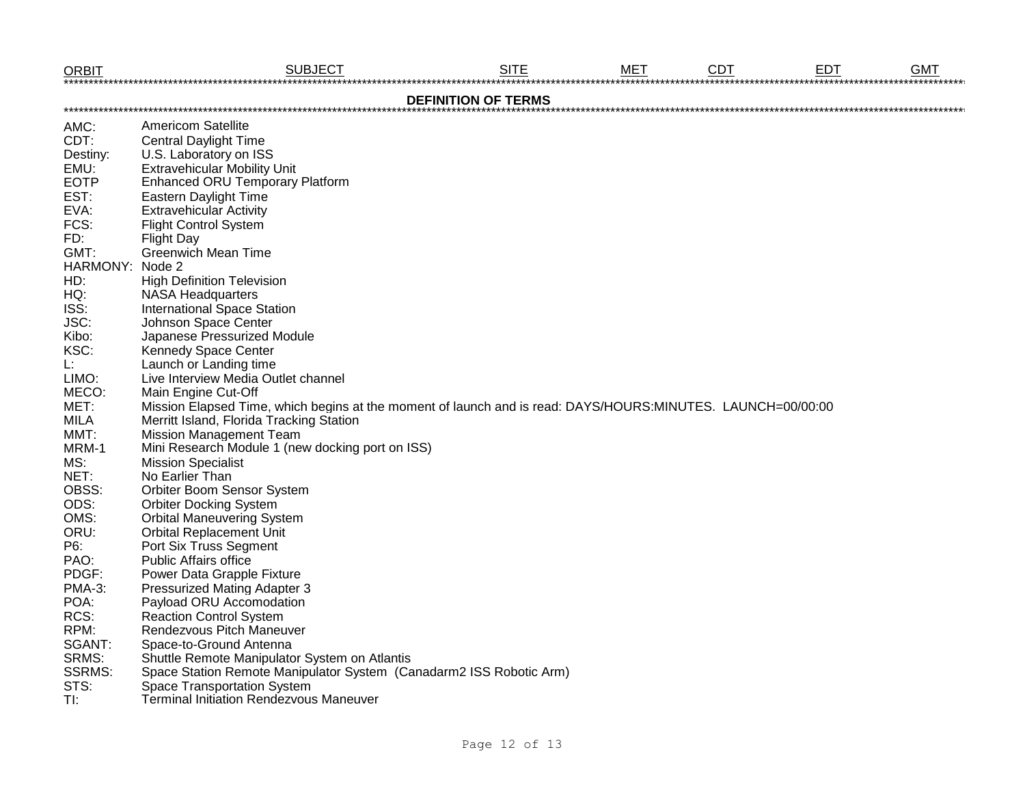| <b>ORBIT</b>               | <b>SUBJECT</b>                                                                                              | <b>SITE</b> | мет | <b>CDT</b> | <b>EDT</b> | <b>GMT</b> |  |  |  |  |  |
|----------------------------|-------------------------------------------------------------------------------------------------------------|-------------|-----|------------|------------|------------|--|--|--|--|--|
| <b>DEFINITION OF TERMS</b> |                                                                                                             |             |     |            |            |            |  |  |  |  |  |
| AMC:                       | <b>Americom Satellite</b>                                                                                   |             |     |            |            |            |  |  |  |  |  |
| CDT:                       | <b>Central Daylight Time</b>                                                                                |             |     |            |            |            |  |  |  |  |  |
| Destiny:                   | U.S. Laboratory on ISS                                                                                      |             |     |            |            |            |  |  |  |  |  |
| EMU:                       | <b>Extravehicular Mobility Unit</b>                                                                         |             |     |            |            |            |  |  |  |  |  |
| <b>EOTP</b>                | <b>Enhanced ORU Temporary Platform</b>                                                                      |             |     |            |            |            |  |  |  |  |  |
| EST:                       | Eastern Daylight Time                                                                                       |             |     |            |            |            |  |  |  |  |  |
| EVA:                       | <b>Extravehicular Activity</b>                                                                              |             |     |            |            |            |  |  |  |  |  |
| FCS:                       | <b>Flight Control System</b>                                                                                |             |     |            |            |            |  |  |  |  |  |
| FD:                        | <b>Flight Day</b>                                                                                           |             |     |            |            |            |  |  |  |  |  |
| GMT:                       | <b>Greenwich Mean Time</b>                                                                                  |             |     |            |            |            |  |  |  |  |  |
| HARMONY:                   | Node 2                                                                                                      |             |     |            |            |            |  |  |  |  |  |
| HD:                        | <b>High Definition Television</b>                                                                           |             |     |            |            |            |  |  |  |  |  |
| HQ:                        | <b>NASA Headquarters</b>                                                                                    |             |     |            |            |            |  |  |  |  |  |
| ISS:                       | <b>International Space Station</b>                                                                          |             |     |            |            |            |  |  |  |  |  |
| JSC:                       | Johnson Space Center                                                                                        |             |     |            |            |            |  |  |  |  |  |
| Kibo:                      | Japanese Pressurized Module                                                                                 |             |     |            |            |            |  |  |  |  |  |
| KSC:                       | Kennedy Space Center                                                                                        |             |     |            |            |            |  |  |  |  |  |
| Ŀ.                         | Launch or Landing time                                                                                      |             |     |            |            |            |  |  |  |  |  |
| LIMO:                      | Live Interview Media Outlet channel                                                                         |             |     |            |            |            |  |  |  |  |  |
| MECO:                      | Main Engine Cut-Off                                                                                         |             |     |            |            |            |  |  |  |  |  |
| MET:                       | Mission Elapsed Time, which begins at the moment of launch and is read: DAYS/HOURS:MINUTES. LAUNCH=00/00:00 |             |     |            |            |            |  |  |  |  |  |
| <b>MILA</b>                | Merritt Island, Florida Tracking Station                                                                    |             |     |            |            |            |  |  |  |  |  |
| MMT:                       | <b>Mission Management Team</b>                                                                              |             |     |            |            |            |  |  |  |  |  |
| MRM-1                      | Mini Research Module 1 (new docking port on ISS)                                                            |             |     |            |            |            |  |  |  |  |  |
| MS:                        | <b>Mission Specialist</b>                                                                                   |             |     |            |            |            |  |  |  |  |  |
| NET:                       | No Earlier Than                                                                                             |             |     |            |            |            |  |  |  |  |  |
| OBSS:                      | Orbiter Boom Sensor System                                                                                  |             |     |            |            |            |  |  |  |  |  |
| ODS:                       | <b>Orbiter Docking System</b>                                                                               |             |     |            |            |            |  |  |  |  |  |
| OMS:                       | <b>Orbital Maneuvering System</b>                                                                           |             |     |            |            |            |  |  |  |  |  |
| ORU:                       | <b>Orbital Replacement Unit</b>                                                                             |             |     |            |            |            |  |  |  |  |  |
| P6:                        | Port Six Truss Segment                                                                                      |             |     |            |            |            |  |  |  |  |  |
| PAO:                       | <b>Public Affairs office</b>                                                                                |             |     |            |            |            |  |  |  |  |  |
| PDGF:                      | Power Data Grapple Fixture                                                                                  |             |     |            |            |            |  |  |  |  |  |
| <b>PMA-3:</b>              | <b>Pressurized Mating Adapter 3</b>                                                                         |             |     |            |            |            |  |  |  |  |  |
| POA:                       | Payload ORU Accomodation                                                                                    |             |     |            |            |            |  |  |  |  |  |
| RCS:                       | <b>Reaction Control System</b>                                                                              |             |     |            |            |            |  |  |  |  |  |
| RPM:                       | Rendezvous Pitch Maneuver                                                                                   |             |     |            |            |            |  |  |  |  |  |
| SGANT:                     | Space-to-Ground Antenna                                                                                     |             |     |            |            |            |  |  |  |  |  |
| SRMS:                      | Shuttle Remote Manipulator System on Atlantis                                                               |             |     |            |            |            |  |  |  |  |  |
| <b>SSRMS:</b>              | Space Station Remote Manipulator System (Canadarm2 ISS Robotic Arm)                                         |             |     |            |            |            |  |  |  |  |  |
| STS:                       | <b>Space Transportation System</b>                                                                          |             |     |            |            |            |  |  |  |  |  |
| TI:                        | <b>Terminal Initiation Rendezvous Maneuver</b>                                                              |             |     |            |            |            |  |  |  |  |  |